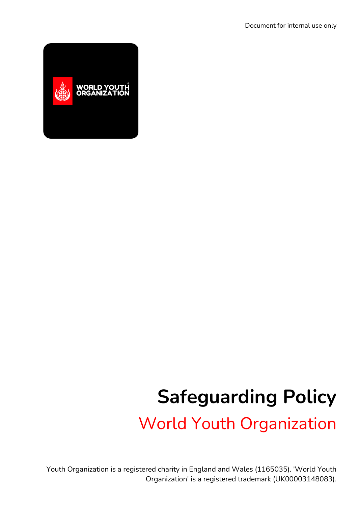

# **Safeguarding Policy**

World Youth Organization

Youth Organization is a registered charity in England and Wales (1165035). 'World Youth Organization' is a registered trademark (UK00003148083).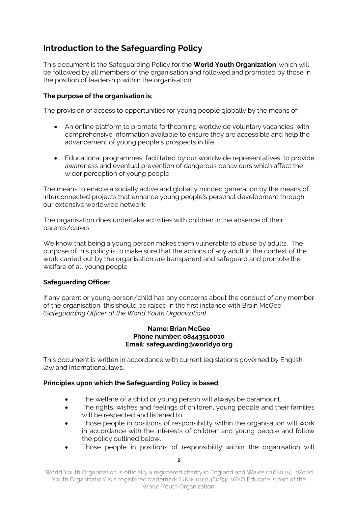## **Introduction to the Safeguarding Policy**

This document is the Safeguarding Policy for the **World Youth Organization**, which will be followed by all members of the organisation and followed and promoted by those in the position of leadership within the organisation.

#### **The purpose of the organisation is;**

The provision of access to opportunities for young people globally by the means of:

- An online platform to promote forthcoming worldwide voluntary vacancies, with comprehensive information available to ensure they are accessible and help the advancement of young people's prospects in life.
- Educational programmes, facilitated by our worldwide representatives, to provide awareness and eventual prevention of dangerous behaviours which affect the wider perception of young people.

The means to enable a socially active and globally minded generation by the means of interconnected projects that enhance young people's personal development through our extensive worldwide network.

The organisation does undertake activities with children in the absence of their parents/carers.

We know that being a young person makes them vulnerable to abuse by adults. The purpose of this policy is to make sure that the actions of any adult in the context of the work carried out by the organisation are transparent and safeguard and promote the welfare of all young people.

#### **Safeguarding Officer**

If any parent or young person/child has any concerns about the conduct of any member of the organisation, this should be raised in the first instance with Brain McGee *(Safeguarding Officer at the World Youth Organization).*

#### **Name: Brian McGee Phone number: 08443510010 Email: safeguarding@worldyo.org**

This document is written in accordance with current legislations governed by English law and international laws.

#### **Principles upon which the Safeguarding Policy is based.**

- The welfare of a child or young person will always be paramount.
- The rights, wishes and feelings of children, young people and their families will be respected and listened to.
- Those people in positions of responsibility within the organisation will work in accordance with the interests of children and young people and follow the policy outlined below.
- Those people in positions of responsibility within the organisation will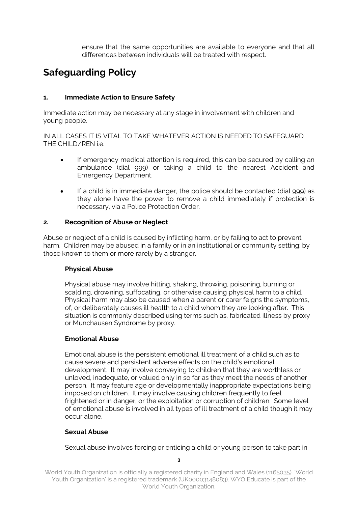ensure that the same opportunities are available to everyone and that all differences between individuals will be treated with respect.

# **Safeguarding Policy**

#### **1. Immediate Action to Ensure Safety**

Immediate action may be necessary at any stage in involvement with children and young people.

IN ALL CASES IT IS VITAL TO TAKE WHATEVER ACTION IS NEEDED TO SAFEGUARD THE CHILD/REN i.e.

- If emergency medical attention is required, this can be secured by calling an ambulance (dial 999) or taking a child to the nearest Accident and Emergency Department.
- If a child is in immediate danger, the police should be contacted (dial 999) as they alone have the power to remove a child immediately if protection is necessary, via a Police Protection Order.

#### **2. Recognition of Abuse or Neglect**

Abuse or neglect of a child is caused by inflicting harm, or by failing to act to prevent harm. Children may be abused in a family or in an institutional or community setting: by those known to them or more rarely by a stranger.

#### **Physical Abuse**

Physical abuse may involve hitting, shaking, throwing, poisoning, burning or scalding, drowning, suffocating, or otherwise causing physical harm to a child. Physical harm may also be caused when a parent or carer feigns the symptoms, of, or deliberately causes ill health to a child whom they are looking after. This situation is commonly described using terms such as, fabricated illness by proxy or Munchausen Syndrome by proxy.

#### **Emotional Abuse**

Emotional abuse is the persistent emotional ill treatment of a child such as to cause severe and persistent adverse effects on the child's emotional development. It may involve conveying to children that they are worthless or unloved, inadequate, or valued only in so far as they meet the needs of another person. It may feature age or developmentally inappropriate expectations being imposed on children. It may involve causing children frequently to feel frightened or in danger, or the exploitation or corruption of children. Some level of emotional abuse is involved in all types of ill treatment of a child though it may occur alone.

#### **Sexual Abuse**

Sexual abuse involves forcing or enticing a child or young person to take part in

**3**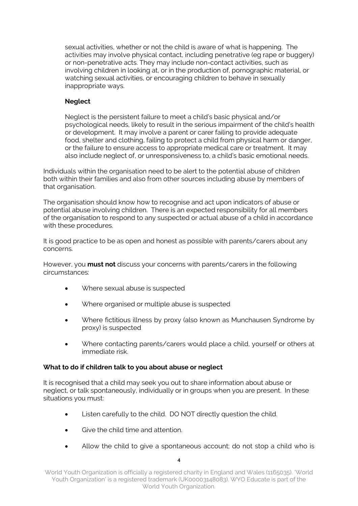sexual activities, whether or not the child is aware of what is happening. The activities may involve physical contact, including penetrative (eg rape or buggery) or non-penetrative acts. They may include non-contact activities, such as involving children in looking at, or in the production of, pornographic material, or watching sexual activities, or encouraging children to behave in sexually inappropriate ways.

#### **Neglect**

Neglect is the persistent failure to meet a child's basic physical and/or psychological needs, likely to result in the serious impairment of the child's health or development. It may involve a parent or carer failing to provide adequate food, shelter and clothing, failing to protect a child from physical harm or danger, or the failure to ensure access to appropriate medical care or treatment. It may also include neglect of, or unresponsiveness to, a child's basic emotional needs.

Individuals within the organisation need to be alert to the potential abuse of children both within their families and also from other sources including abuse by members of that organisation.

The organisation should know how to recognise and act upon indicators of abuse or potential abuse involving children. There is an expected responsibility for all members of the organisation to respond to any suspected or actual abuse of a child in accordance with these procedures.

It is good practice to be as open and honest as possible with parents/carers about any concerns.

However, you **must not** discuss your concerns with parents/carers in the following circumstances:

- Where sexual abuse is suspected
- Where organised or multiple abuse is suspected
- Where fictitious illness by proxy (also known as Munchausen Syndrome by proxy) is suspected
- Where contacting parents/carers would place a child, yourself or others at immediate risk.

#### **What to do if children talk to you about abuse or neglect**

It is recognised that a child may seek you out to share information about abuse or neglect, or talk spontaneously, individually or in groups when you are present. In these situations you must:

- Listen carefully to the child. DO NOT directly question the child.
- Give the child time and attention.
- Allow the child to give a spontaneous account; do not stop a child who is

**4**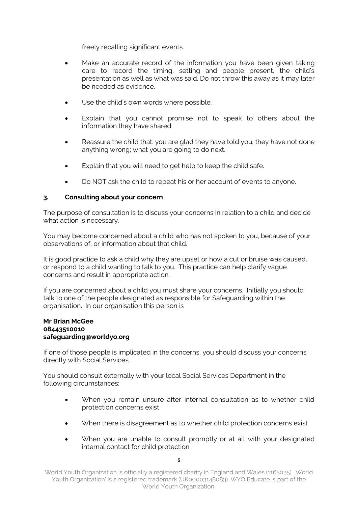freely recalling significant events.

- Make an accurate record of the information you have been given taking care to record the timing, setting and people present, the child's presentation as well as what was said. Do not throw this away as it may later be needed as evidence.
- Use the child's own words where possible.
- Explain that you cannot promise not to speak to others about the information they have shared.
- Reassure the child that: you are glad they have told you; they have not done anything wrong; what you are going to do next.
- Explain that you will need to get help to keep the child safe.
- Do NOT ask the child to repeat his or her account of events to anyone.

#### **3. Consulting about your concern**

The purpose of consultation is to discuss your concerns in relation to a child and decide what action is necessary.

You may become concerned about a child who has not spoken to you, because of your observations of, or information about that child.

It is good practice to ask a child why they are upset or how a cut or bruise was caused, or respond to a child wanting to talk to you. This practice can help clarify vague concerns and result in appropriate action.

If you are concerned about a child you must share your concerns. Initially you should talk to one of the people designated as responsible for Safeguarding within the organisation. In our organisation this person is

#### **Mr Brian McGee 08443510010 safeguarding@worldyo.org**

If one of those people is implicated in the concerns, you should discuss your concerns directly with Social Services.

You should consult externally with your local Social Services Department in the following circumstances:

- When you remain unsure after internal consultation as to whether child protection concerns exist
- When there is disagreement as to whether child protection concerns exist
- When you are unable to consult promptly or at all with your designated internal contact for child protection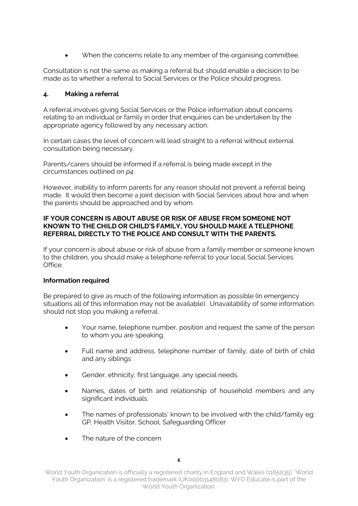When the concerns relate to any member of the organising committee.

Consultation is not the same as making a referral but should enable a decision to be made as to whether a referral to Social Services or the Police should progress.

#### **4. Making a referral**

A referral involves giving Social Services or the Police information about concerns relating to an individual or family in order that enquiries can be undertaken by the appropriate agency followed by any necessary action.

In certain cases the level of concern will lead straight to a referral without external consultation being necessary.

Parents/carers should be informed if a referral is being made except in the circumstances outlined on *p4*.

However, inability to inform parents for any reason should not prevent a referral being made. It would then become a joint decision with Social Services about how and when the parents should be approached and by whom.

#### **IF YOUR CONCERN IS ABOUT ABUSE OR RISK OF ABUSE FROM SOMEONE NOT KNOWN TO THE CHILD OR CHILD'S FAMILY, YOU SHOULD MAKE A TELEPHONE REFERRAL DIRECTLY TO THE POLICE AND CONSULT WITH THE PARENTS.**

If your concern is about abuse or risk of abuse from a family member or someone known to the children, you should make a telephone referral to your local Social Services Office.

#### **Information required**

Be prepared to give as much of the following information as possible (in emergency situations all of this information may not be available). Unavailability of some information should not stop you making a referral.

- Your name, telephone number, position and request the same of the person to whom you are speaking.
- Full name and address, telephone number of family, date of birth of child and any siblings
- Gender, ethnicity, first language, any special needs.
- Names, dates of birth and relationship of household members and any significant individuals.
- The names of professionals' known to be involved with the child/family eg: GP, Health Visitor, School, Safeguarding Officer
- The nature of the concern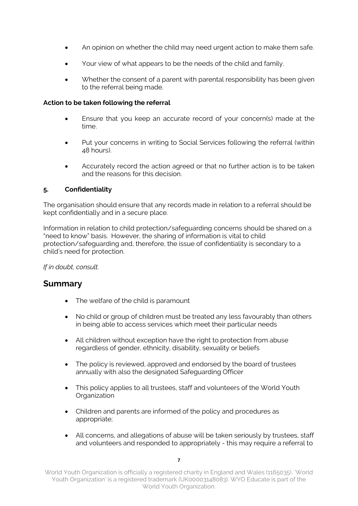- An opinion on whether the child may need urgent action to make them safe.
- Your view of what appears to be the needs of the child and family.
- Whether the consent of a parent with parental responsibility has been given to the referral being made.

#### **Action to be taken following the referral**

- Ensure that you keep an accurate record of your concern(s) made at the time.
- Put your concerns in writing to Social Services following the referral (within 48 hours).
- Accurately record the action agreed or that no further action is to be taken and the reasons for this decision.

#### **5. Confidentiality**

The organisation should ensure that any records made in relation to a referral should be kept confidentially and in a secure place.

Information in relation to child protection/safeguarding concerns should be shared on a "need to know" basis. However, the sharing of information is vital to child protection/safeguarding and, therefore, the issue of confidentiality is secondary to a child's need for protection.

*If in doubt, consult.*

### **Summary**

- The welfare of the child is paramount
- No child or group of children must be treated any less favourably than others in being able to access services which meet their particular needs
- All children without exception have the right to protection from abuse regardless of gender, ethnicity, disability, sexuality or beliefs
- The policy is reviewed, approved and endorsed by the board of trustees annually with also the designated Safeguarding Officer
- This policy applies to all trustees, staff and volunteers of the World Youth **Organization**
- Children and parents are informed of the policy and procedures as appropriate;
- All concerns, and allegations of abuse will be taken seriously by trustees, staff and volunteers and responded to appropriately - this may require a referral to